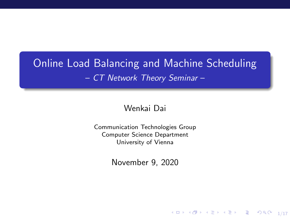# Online Load Balancing and Machine Scheduling – CT Network Theory Seminar –

#### Wenkai Dai

Communication Technologies Group Computer Science Department University of Vienna

November 9, 2020

1/17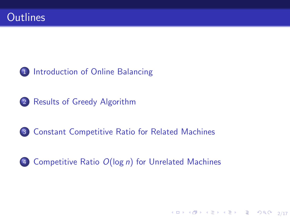### 1 [Introduction of Online Balancing](#page-2-0)

2 [Results of Greedy Algorithm](#page-6-0)

#### 3 [Constant Competitive Ratio for Related Machines](#page-8-0)

### 4 Competitive Ratio O(log n[\) for Unrelated Machines](#page-15-0)

2/17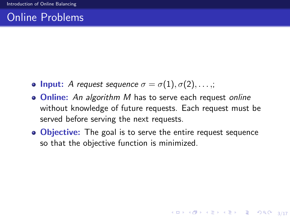# <span id="page-2-0"></span>Online Problems

- **Input:** A request sequence  $\sigma = \sigma(1), \sigma(2), \ldots,$ ;
- Online: An algorithm M has to serve each request online without knowledge of future requests. Each request must be served before serving the next requests.
- Objective: The goal is to serve the entire request sequence so that the objective function is minimized.

3/17 3/17 3/17 3 3/17 3 3/17 3 3/17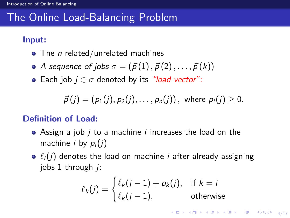# The Online Load-Balancing Problem

#### Input:

- $\bullet$  The *n* related/unrelated machines
- A sequence of jobs  $\sigma = (\vec{p}(1), \vec{p}(2), \dots, \vec{p}(k))$
- Each job  $j \in \sigma$  denoted by its "load vector":

$$
\vec{p}(j) = (p_1(j), p_2(j), \ldots, p_n(j)),
$$
 where  $p_i(j) \ge 0$ .

#### Definition of Load:

- $\bullet$  Assign a job *j* to a machine *i* increases the load on the machine *i* by  $p_i(j)$
- $\bullet \ell_i(j)$  denotes the load on machine *i* after already assigning jobs  $1$  through  $i$ :

$$
\ell_k(j) = \begin{cases} \ell_k(j-1) + p_k(j), & \text{if } k = i\\ \ell_k(j-1), & \text{otherwise} \end{cases}
$$

4/17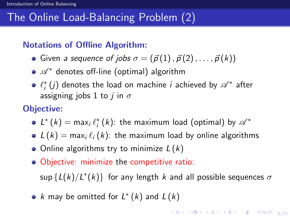# The Online Load-Balancing Problem (2)

#### Notations of Offline Algorithm:

- Given a sequence of jobs  $\sigma = (\vec{p}(1), \vec{p}(2), \ldots, \vec{p}(k))$
- $\bullet$   $\mathscr{A}^*$  denotes off-line (optimal) algorithm
- $\ell_{i}^{*}\left(j\right)$  denotes the load on machine  $i$  achieved by  $\mathscr{A}^{*}$  after assigning jobs 1 to *j* in  $\sigma$

#### Objective:

- $L^{\ast }\left( k\right) =$  max $_{i}\ell _{i}^{\ast }\left( k\right)$ : the maximum load (optimal) by  $\mathscr{A}^{\ast }$
- $L(k) = \max_i \ell_i(k)$ : the maximum load by online algorithms
- Online algorithms try to minimize  $L(k)$
- Objective: minimize the competitive ratio:

 $\sup \{L(k)/L^*(k)\}$  for any length  $k$  and all possible sequences  $\sigma$ 

k may be omitted for  $L^*(k)$  and  $L(k)$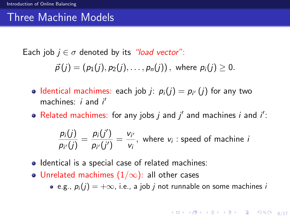# Three Machine Models

Each job  $j \in \sigma$  denoted by its "load vector":

$$
\vec{p}(j)=(p_1(j),p_2(j),\ldots,p_n(j)), \text{ where } p_i(j)\geq 0.
$$

- Identical machimes: each job  $j$ :  $p_i(j) = p_{i'}(j)$  for any two machines:  $i$  and  $i'$
- Related machimes: for any jobs  $j$  and  $j'$  and machines  $i$  and  $i'$ :

$$
\frac{p_i(j)}{p_{i'}(j)} = \frac{p_i(j')}{p_{i'}(j')} = \frac{v_{i'}}{v_i}, \text{ where } v_i \text{ : speed of machine } i
$$

- Identical is a special case of related machines:
- Unrelated machimes  $(1/\infty)$ : all other cases
	- e.g.,  $p_i(j) = +\infty$ , i.e., a job *j* not runnable on some machines *i*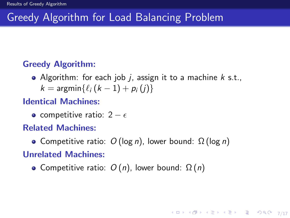# <span id="page-6-0"></span>Greedy Algorithm for Load Balancing Problem

#### Greedy Algorithm:

- Algorithm: for each job  $i$ , assign it to a machine  $k$  s.t.,
	- $k = \argmin{\{\ell_i (k 1) + p_i (i)\}}$

#### Identical Machines:

• competitive ratio:  $2 - \epsilon$ 

#### Related Machines:

• Competitive ratio:  $O(\log n)$ , lower bound:  $\Omega(\log n)$ 

7/17

#### Unrelated Machines:

• Competitive ratio:  $O(n)$ , lower bound:  $\Omega(n)$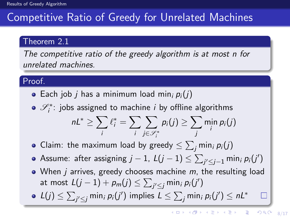# Competitive Ratio of Greedy for Unrelated Machines

#### Theorem 2.1

The competitive ratio of the greedy algorithm is at most n for unrelated machines.

#### Proof.

- Each job *j* has a minimum load min<sub>i</sub>  $p_i(i)$
- $\mathscr{S}_{i}^{*}$ : jobs assigned to machine i by offline algorithms nL $^*$   $\geq$   $\sum$ i  $\ell_i^* = \sum$ i  $\sum$  $j\in\!\mathscr{S}^*_i$  $p_i(j) \geq \sum$ j min  $p_i(j)$
- Claim: the maximum load by greedy  $\leq \sum_j \mathsf{min}_i\, \rho_i(j)$
- Assume: after assigning  $j-1$ ,  $L(j-1) \leq \sum_{j' \leq j-1} \min_i \rho_i(j')$
- $\bullet$  When *j* arrives, greedy chooses machine *m*, the resulting load at most  $L(j-1) + \rho_m(j) \leq \sum_{j' \leq j} \min_i \rho_i(j')$
- $L(j) \leq \sum_{j' \leq j}$  min<sub>i</sub>  $p_i(j')$  implies  $L \leq \sum_j$  min<sub>i</sub>  $p_i(j') \leq nL^*$

 $\mathcal{L}_{\mathcal{A}}$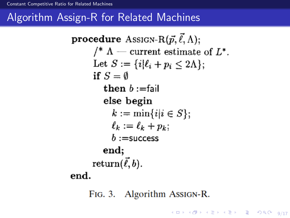<span id="page-8-0"></span>**procedure** Assign-R $(\vec{p}, \vec{\ell}, \Lambda)$ : /\*  $\Lambda$  – current estimate of  $L^*$ . Let  $S := \{i | \ell_i + p_i \leq 2\Lambda\}$ ; if  $S = \emptyset$ then  $b :=$ fail else begin  $k := \min\{i | i \in S\};$  $\ell_k := \ell_k + p_k$  $b :=$ success end; return $(\vec{\ell},b)$ . end.

FIG. 3. Algorithm AssIGN-R.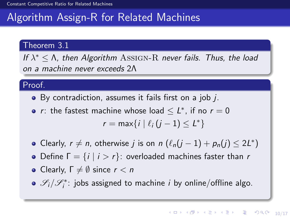#### Theorem 3.1

If  $\lambda^* \leq \Lambda$ , then Algorithm ASSIGN-R never fails. Thus, the load on a machine never exceeds 2Λ

#### Proof.

- By contradiction, assumes it fails first on a job *j*.
- r: the fastest machine whose load  $\leq L^*$ , if no  $r=0$  $r = \max\{i \mid \ell_i (j - 1) \le L^*\}$
- Clearly,  $r \neq n$ , otherwise j is on  $n \left( \ell_n(j-1) + p_n(j) \leq 2L^* \right)$
- Define  $\Gamma = \{i \mid i > r\}$ : overloaded machines faster than r
- Clearly,  $\Gamma \neq \emptyset$  since  $r < n$
- $\mathscr{S}_i/\mathscr{S}_i^*$ : jobs assigned to machine *i* by online/offline algo.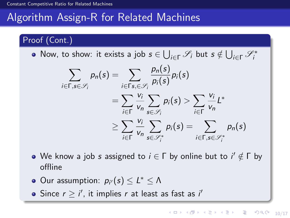#### Proof (Cont.)

Now, to show: it exists a job  $s \in \bigcup_{i \in \Gamma} \mathscr{S}_i$  but  $s \notin \bigcup_{i \in \Gamma} \mathscr{S}_i^*$ 

$$
\sum_{i \in \Gamma, s \in \mathscr{S}_i} p_n(s) = \sum_{i \in \Gamma s, \in \mathscr{S}_i} \frac{p_n(s)}{p_i(s)} p_i(s)
$$
  
= 
$$
\sum_{i \in \Gamma} \frac{v_i}{v_n} \sum_{s \in \mathscr{S}_i} p_i(s) > \sum_{i \in \Gamma} \frac{v_i}{v_n} L^*
$$
  

$$
\geq \sum_{i \in \Gamma} \frac{v_i}{v_n} \sum_{s \in \mathscr{S}_i^*} p_i(s) = \sum_{i \in \Gamma, s \in \mathscr{S}_i^*} p_n(s)
$$

- We know a job  $s$  assigned to  $i \in \Gamma$  by online but to  $i' \notin \Gamma$  by offline
- Our assumption:  $p_{i'}(s) \leq L^* \leq \Lambda$
- Since  $r \ge i'$ , it implies r at least as fast as i'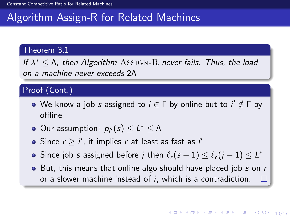#### Theorem 3.1

If  $\lambda^* \leq \Lambda$ , then Algorithm ASSIGN-R never fails. Thus, the load on a machine never exceeds 2Λ

#### Proof (Cont.)

- We know a job  $s$  assigned to  $i \in \Gamma$  by online but to  $i' \notin \Gamma$  by offline
- Our assumption:  $p_{i'}(s) \leq L^* \leq \Lambda$
- Since  $r \ge i'$ , it implies r at least as fast as i'
- Since job  $s$  assigned before  $j$  then  $\ell_r(s 1) \leq \ell_r(j 1) \leq L^*$
- $\bullet$  But, this means that online algo should have placed job s on r or a slower machine instead of i, which is a contradiction.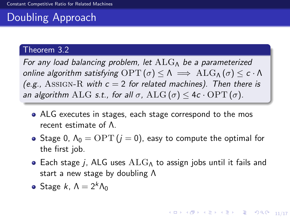# Doubling Approach

#### Theorem 3.2

For any load balancing problem, let  $ALG_{\Lambda}$  be a parameterized online algorithm satisfying  $\text{OPT}(\sigma) \leq \Lambda \implies \text{ALG}_{\Lambda}(\sigma) \leq \epsilon \cdot \Lambda$ (e.g., ASSIGN-R with  $c = 2$  for related machines). Then there is an algorithm ALG s.t., for all  $\sigma$ , ALG ( $\sigma$ )  $\leq$  4c  $\cdot$  OPT ( $\sigma$ ).

- ALG executes in stages, each stage correspond to the mos recent estimate of Λ.
- Stage 0,  $\Lambda_0 = \text{OPT}$   $(j = 0)$ , easy to compute the optimal for the first job.
- Each stage j, ALG uses  $ALG_{\Lambda}$  to assign jobs until it fails and start a new stage by doubling Λ
- **•** Stage k,  $\Lambda = 2^k \Lambda_0$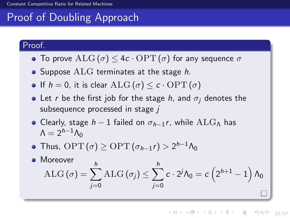# Proof of Doubling Approach

#### Proof.

- To prove  $\text{ALG}(\sigma) \leq 4c \cdot \text{OPT}(\sigma)$  for any sequence  $\sigma$
- Suppose  $ALG$  terminates at the stage h.
- If  $h = 0$ , it is clear  $\text{ALG}(\sigma) \leq c \cdot \text{OPT}(\sigma)$
- Let r be the first job for the stage h, and  $\sigma_i$  denotes the subsequence processed in stage  $$
- Clearly, stage  $h-1$  failed on  $\sigma_{h-1}r$ , while ALG<sub>Λ</sub> has  $\Lambda = 2^{h-1}\Lambda_0$
- Thus,  $\text{OPT}(\sigma) \ge \text{OPT}(\sigma_{h-1} r) > 2^{h-1} \Lambda_0$
- Moreover  $\mathrm{ALG}\left( \sigma \right) =\sum$ h j=0  $\text{ALG}(\sigma_j) \leq \sum$ h j=0  $c\cdot 2^j\Lambda_0=c\left(2^{h+1}-1\right)\Lambda_0$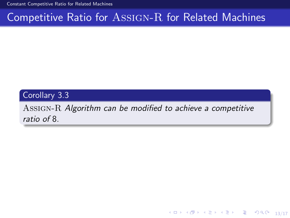[Constant Competitive Ratio for Related Machines](#page-8-0)

# Competitive Ratio for Assign-R for Related Machines

#### Corollary 3.3

Assign-R Algorithm can be modified to achieve a competitive ratio of 8.

10 → 11日 → 11월 → 11월 → 11월 → 120 → 13/17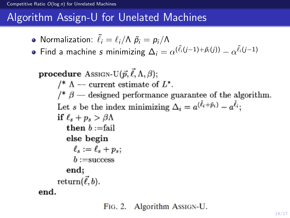- <span id="page-15-0"></span>Normalization:  $\tilde{\ell}_i = \ell_i/\Lambda \tilde{p}_i = p_i/\Lambda$
- Find a machine  $s$  minimizing  $\Delta_i = \alpha^{(\tilde{\ell}_i(j-1) + \tilde{\rho}_i(j))} \alpha^{\tilde{\ell}_i(j-1)}$

**procedure** Assign-U $(\vec{p}, \vec{\ell}, \Lambda, \beta)$ ; /\*  $\Lambda$  - current estimate of  $L^*$ . /\*  $\beta$  — designed performance guarantee of the algorithm. Let s be the index minimizing  $\Delta_i = a^{(\bar{\ell}_i + \bar{p}_i)} - a^{\bar{\ell}_i}$ ; if  $\ell_s + p_s > \beta \Lambda$ then  $b :=$ fail else begin  $\ell_s := \ell_s + p_s;$  $b :=$ success end; return $(\vec{\ell},b)$ . end.

FIG. 2. Algorithm AssIGN-U.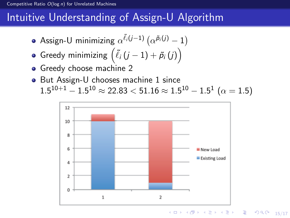#### Competitive Ratio  $O(\log n)$  for Unrelated Machines

# Intuitive Understanding of Assign-U Algorithm

- Assign-U minimizing  $\alpha^{\tilde{\ell}_i(j-1)}\left(\alpha^{\tilde{p}_i(j)}-1\right)$
- Greedy minimizing  $\left(\tilde{\ell}_i\left(j-1\right)+\tilde{p}_i\left(j\right)\right)$
- **•** Greedy choose machine 2
- But Assign-U chooses machine 1 since  $1.5^{10+1} - 1.5^{10} \approx 22.83 < 51.16 \approx 1.5^{10} - 1.5^{1} \; (\alpha = 1.5)$

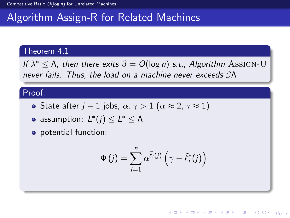#### Theorem 4.1

If  $\lambda^* \leq \Lambda$ , then there exits  $\beta = O(\log n)$  s.t., Algorithm ASSIGN-U never fails. Thus, the load on a machine never exceeds βΛ

#### Proof.

- State after j − 1 jobs,  $\alpha, \gamma > 1$  ( $\alpha \approx 2, \gamma \approx 1$ )
- assumption:  $L^*(j) \leq L^* \leq \Lambda$
- potential function:

$$
\Phi(j) = \sum_{i=1}^{n} \alpha^{\tilde{\ell}_{i}(j)} \left( \gamma - \tilde{\ell}_{i}^{*}(j) \right)
$$

16/17 4 17 14 14 14 15 17 16 17 16 17 16 17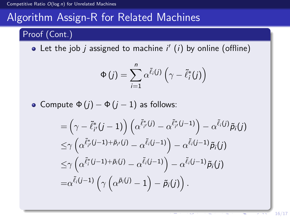#### Proof (Cont.)

Let the job  $j$  assigned to machine  $i'$   $(i)$  by online (offline)

$$
\Phi(j) = \sum_{i=1}^{n} \alpha^{\tilde{\ell}_{i}(j)} \left( \gamma - \tilde{\ell}_{i}^{*}(j) \right)
$$

• Compute  $Φ(j) - Φ(j - 1)$  as follows:

$$
\begin{aligned}&=\left(\gamma-\tilde{\ell}_{i'}^{*}(j-1)\right)\left(\alpha^{\tilde{\ell}_{i'}^{*}(j)}-\alpha^{\tilde{\ell}_{i'}^{*}(j-1)}\right)-\alpha^{\tilde{\ell}_{i}(j)}\tilde{p}_{i}(j)\\&\leq&\gamma\left(\alpha^{\tilde{\ell}_{i'}^{*}(j-1)+\tilde{p}_{i'}(j)}-\alpha^{\tilde{\ell}_{i}(j-1)}\right)-\alpha^{\tilde{\ell}_{i}(j-1)}\tilde{p}_{i}(j)\\&\leq&\gamma\left(\alpha^{\tilde{\ell}_{i}^{*}(j-1)+\tilde{p}_{i}(j)}-\alpha^{\tilde{\ell}_{i}(j-1)}\right)-\alpha^{\tilde{\ell}_{i}(j-1)}\tilde{p}_{i}(j)\\&=\alpha^{\tilde{\ell}_{i}(j-1)}\left(\gamma\left(\alpha^{\tilde{p}_{i}(j)}-1\right)-\tilde{p}_{i}(j)\right).\end{aligned}
$$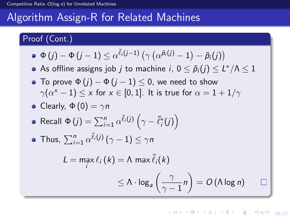#### Proof (Cont.)

$$
\bullet \ \Phi(j) - \Phi(j-1) \leq \alpha^{\tilde{\ell}_i(j-1)} \left( \gamma \left( \alpha^{\tilde{\rho}_i(j)} - 1 \right) - \tilde{\rho}_i(j) \right)
$$

As offline assigns job  $j$  to machine  $i$ ,  $0\leq \tilde{p}_{i}(j)\leq L^*/\Lambda\leq 1$ 

• To prove  $\Phi(j) - \Phi(j-1) \leq 0$ , we need to show  $\gamma(\alpha^{\mathrm{x}}-1) \leq \mathrm{x}$  for  $\mathrm{x} \in [0,1].$  It is true for  $\alpha = 1 + 1/\gamma$ 

• Clearly, 
$$
\Phi(0) = \gamma n
$$

• Recall 
$$
\Phi(j) = \sum_{i=1}^{n} \alpha^{\tilde{\ell}_{i}(j)} (\gamma - \tilde{\ell}_{i}^{*}(j))
$$

• Thus, 
$$
\sum_{i=1}^{n} \alpha^{\tilde{\ell}_{i}(j)} (\gamma - 1) \leq \gamma n
$$

$$
L = \max_{i} \ell_{i} (k) = \Lambda \max \tilde{\ell}_{i} (k)
$$
  
 
$$
\leq \Lambda \cdot \log_{a} \left( \frac{\gamma}{\gamma - 1} n \right) = O(\Lambda \log n)
$$

16/17 4 17 14 14 14 15 17 16 17 16 17 16 17